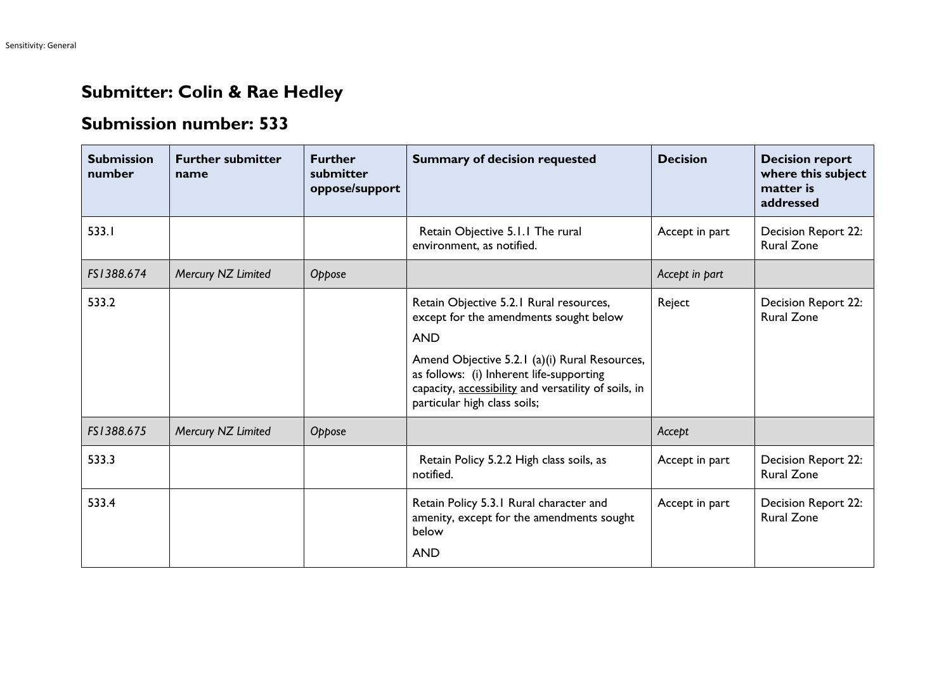## **Submitter: Colin & Rae Hedley**

## **Submission number: 533**

| <b>Submission</b><br>number | <b>Further submitter</b><br>name | <b>Further</b><br>submitter<br>oppose/support | <b>Summary of decision requested</b>                                                                                                                                                                                                                                                 | <b>Decision</b> | <b>Decision report</b><br>where this subject<br>matter is<br>addressed |
|-----------------------------|----------------------------------|-----------------------------------------------|--------------------------------------------------------------------------------------------------------------------------------------------------------------------------------------------------------------------------------------------------------------------------------------|-----------------|------------------------------------------------------------------------|
| 533.1                       |                                  |                                               | Retain Objective 5.1.1 The rural<br>environment, as notified.                                                                                                                                                                                                                        | Accept in part  | Decision Report 22:<br><b>Rural Zone</b>                               |
| FS1388.674                  | Mercury NZ Limited               | Oppose                                        |                                                                                                                                                                                                                                                                                      | Accept in part  |                                                                        |
| 533.2                       |                                  |                                               | Retain Objective 5.2.1 Rural resources,<br>except for the amendments sought below<br><b>AND</b><br>Amend Objective 5.2.1 (a)(i) Rural Resources,<br>as follows: (i) Inherent life-supporting<br>capacity, accessibility and versatility of soils, in<br>particular high class soils; | Reject          | Decision Report 22:<br><b>Rural Zone</b>                               |
| FS1388.675                  | Mercury NZ Limited               | Oppose                                        |                                                                                                                                                                                                                                                                                      | Accept          |                                                                        |
| 533.3                       |                                  |                                               | Retain Policy 5.2.2 High class soils, as<br>notified.                                                                                                                                                                                                                                | Accept in part  | Decision Report 22:<br><b>Rural Zone</b>                               |
| 533.4                       |                                  |                                               | Retain Policy 5.3.1 Rural character and<br>amenity, except for the amendments sought<br>below<br><b>AND</b>                                                                                                                                                                          | Accept in part  | Decision Report 22:<br><b>Rural Zone</b>                               |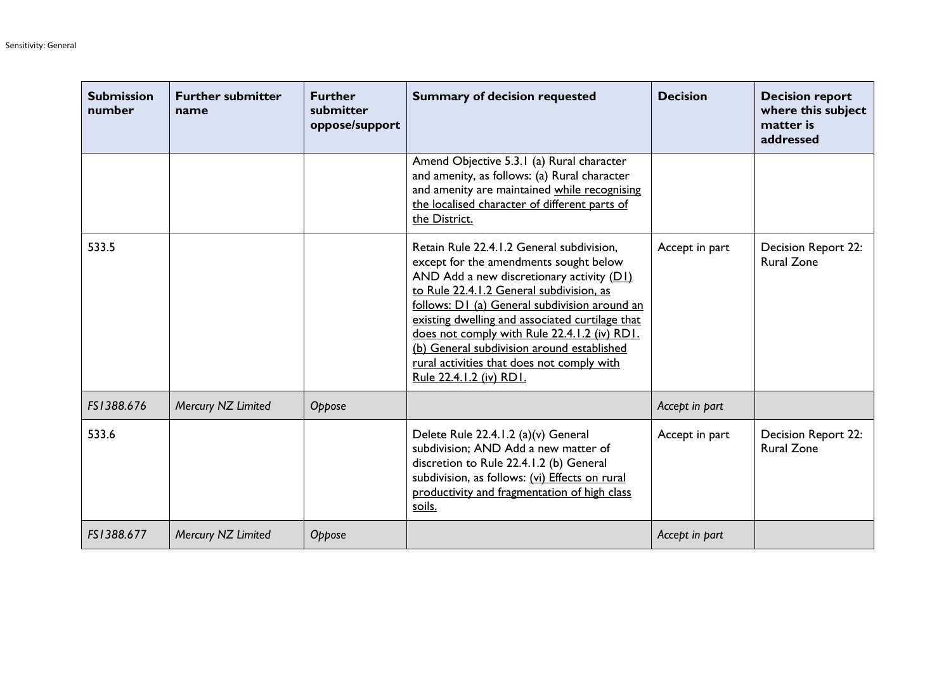| <b>Submission</b><br>number | <b>Further submitter</b><br>name | <b>Further</b><br>submitter<br>oppose/support | <b>Summary of decision requested</b>                                                                                                                                                                                                                                                                                                                                                                                                                      | <b>Decision</b> | <b>Decision report</b><br>where this subject<br>matter is<br>addressed |
|-----------------------------|----------------------------------|-----------------------------------------------|-----------------------------------------------------------------------------------------------------------------------------------------------------------------------------------------------------------------------------------------------------------------------------------------------------------------------------------------------------------------------------------------------------------------------------------------------------------|-----------------|------------------------------------------------------------------------|
|                             |                                  |                                               | Amend Objective 5.3.1 (a) Rural character<br>and amenity, as follows: (a) Rural character<br>and amenity are maintained while recognising<br>the localised character of different parts of<br>the District.                                                                                                                                                                                                                                               |                 |                                                                        |
| 533.5                       |                                  |                                               | Retain Rule 22.4.1.2 General subdivision,<br>except for the amendments sought below<br>AND Add a new discretionary activity $(DI)$<br>to Rule 22.4.1.2 General subdivision, as<br>follows: D1 (a) General subdivision around an<br>existing dwelling and associated curtilage that<br>does not comply with Rule 22.4.1.2 (iv) RD1.<br>(b) General subdivision around established<br>rural activities that does not comply with<br>Rule 22.4.1.2 (iv) RD1. | Accept in part  | <b>Decision Report 22:</b><br><b>Rural Zone</b>                        |
| FS1388.676                  | Mercury NZ Limited               | Oppose                                        |                                                                                                                                                                                                                                                                                                                                                                                                                                                           | Accept in part  |                                                                        |
| 533.6                       |                                  |                                               | Delete Rule 22.4.1.2 (a)(v) General<br>subdivision; AND Add a new matter of<br>discretion to Rule 22.4.1.2 (b) General<br>subdivision, as follows: (vi) Effects on rural<br>productivity and fragmentation of high class<br>soils.                                                                                                                                                                                                                        | Accept in part  | <b>Decision Report 22:</b><br><b>Rural Zone</b>                        |
| FS1388.677                  | Mercury NZ Limited               | Oppose                                        |                                                                                                                                                                                                                                                                                                                                                                                                                                                           | Accept in part  |                                                                        |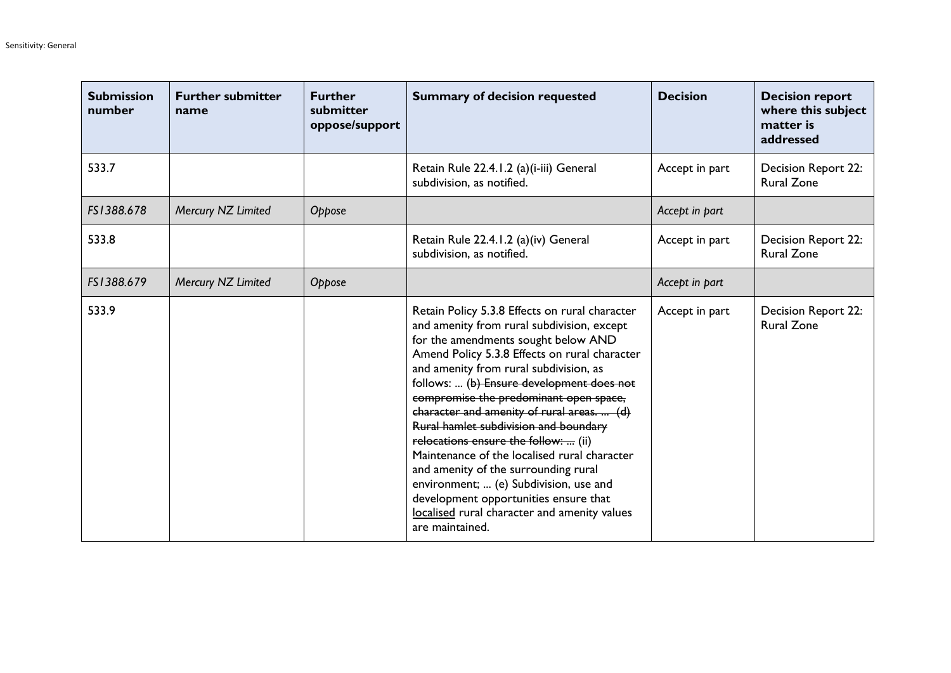| <b>Submission</b><br>number | <b>Further submitter</b><br>name | <b>Further</b><br>submitter<br>oppose/support | <b>Summary of decision requested</b>                                                                                                                                                                                                                                                                                                                                                                                                                                                                                                                                                                                                                                                               | <b>Decision</b> | <b>Decision report</b><br>where this subject<br>matter is<br>addressed |
|-----------------------------|----------------------------------|-----------------------------------------------|----------------------------------------------------------------------------------------------------------------------------------------------------------------------------------------------------------------------------------------------------------------------------------------------------------------------------------------------------------------------------------------------------------------------------------------------------------------------------------------------------------------------------------------------------------------------------------------------------------------------------------------------------------------------------------------------------|-----------------|------------------------------------------------------------------------|
| 533.7                       |                                  |                                               | Retain Rule 22.4.1.2 (a)(i-iii) General<br>subdivision, as notified.                                                                                                                                                                                                                                                                                                                                                                                                                                                                                                                                                                                                                               | Accept in part  | Decision Report 22:<br><b>Rural Zone</b>                               |
| FS1388.678                  | Mercury NZ Limited               | Oppose                                        |                                                                                                                                                                                                                                                                                                                                                                                                                                                                                                                                                                                                                                                                                                    | Accept in part  |                                                                        |
| 533.8                       |                                  |                                               | Retain Rule 22.4.1.2 (a)(iv) General<br>subdivision, as notified.                                                                                                                                                                                                                                                                                                                                                                                                                                                                                                                                                                                                                                  | Accept in part  | <b>Decision Report 22:</b><br><b>Rural Zone</b>                        |
| FS1388.679                  | Mercury NZ Limited               | Oppose                                        |                                                                                                                                                                                                                                                                                                                                                                                                                                                                                                                                                                                                                                                                                                    | Accept in part  |                                                                        |
| 533.9                       |                                  |                                               | Retain Policy 5.3.8 Effects on rural character<br>and amenity from rural subdivision, except<br>for the amendments sought below AND<br>Amend Policy 5.3.8 Effects on rural character<br>and amenity from rural subdivision, as<br>follows:  (b) Ensure development does not<br>compromise the predominant open space,<br>character and amenity of rural areas.  (d)<br>Rural hamlet subdivision and boundary<br>relocations ensure the follow:  (ii)<br>Maintenance of the localised rural character<br>and amenity of the surrounding rural<br>environment;  (e) Subdivision, use and<br>development opportunities ensure that<br>localised rural character and amenity values<br>are maintained. | Accept in part  | Decision Report 22:<br><b>Rural Zone</b>                               |